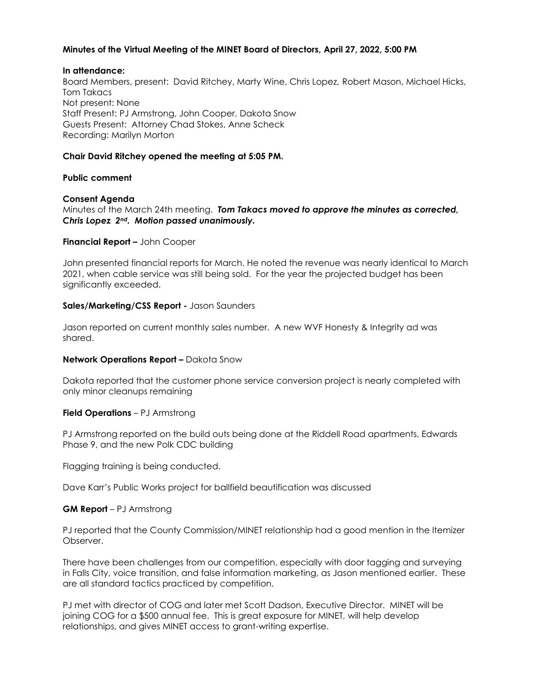# **Minutes of the Virtual Meeting of the MINET Board of Directors, April 27, 2022, 5:00 PM**

#### **In attendance:**

Board Members, present: David Ritchey, Marty Wine, Chris Lopez, Robert Mason, Michael Hicks, Tom Takacs Not present: None Staff Present: PJ Armstrong, John Cooper, Dakota Snow Guests Present: Attorney Chad Stokes, Anne Scheck Recording: Marilyn Morton

## **Chair David Ritchey opened the meeting at 5:05 PM.**

#### **Public comment**

# **Consent Agenda**

Minutes of the March 24th meeting. *Tom Takacs moved to approve the minutes as corrected, Chris Lopez 2nd. Motion passed unanimously.*

#### **Financial Report –** John Cooper

John presented financial reports for March. He noted the revenue was nearly identical to March 2021, when cable service was still being sold. For the year the projected budget has been significantly exceeded.

#### **Sales/Marketing/CSS Report -** Jason Saunders

Jason reported on current monthly sales number. A new WVF Honesty & Integrity ad was shared.

#### **Network Operations Report –** Dakota Snow

Dakota reported that the customer phone service conversion project is nearly completed with only minor cleanups remaining

#### **Field Operations** – PJ Armstrong

PJ Armstrong reported on the build outs being done at the Riddell Road apartments, Edwards Phase 9, and the new Polk CDC building

Flagging training is being conducted.

Dave Karr's Public Works project for ballfield beautification was discussed

#### **GM Report** – PJ Armstrong

PJ reported that the County Commission/MINET relationship had a good mention in the Itemizer Observer.

There have been challenges from our competition, especially with door tagging and surveying in Falls City, voice transition, and false information marketing, as Jason mentioned earlier. These are all standard tactics practiced by competition.

PJ met with director of COG and later met Scott Dadson, Executive Director. MINET will be joining COG for a \$500 annual fee. This is great exposure for MINET, will help develop relationships, and gives MINET access to grant-writing expertise.